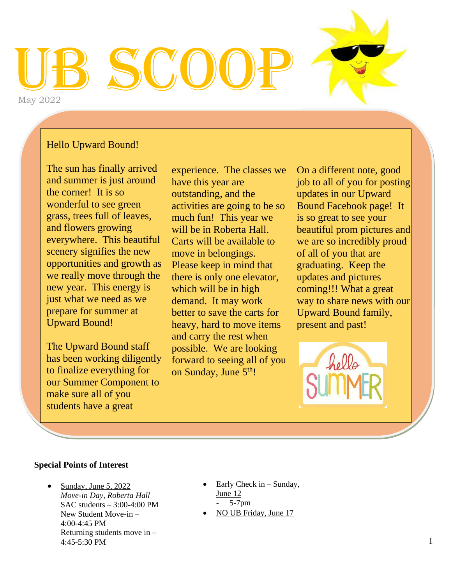# UB SCOOP May 2022

#### Hello Upward Bound!

The sun has finally arrived and summer is just around the corner! It is so wonderful to see green grass, trees full of leaves, and flowers growing everywhere. This beautiful scenery signifies the new opportunities and growth as we really move through the new year. This energy is just what we need as we prepare for summer at Upward Bound!

The Upward Bound staff has been working diligently to finalize everything for our Summer Component to make sure all of you students have a great

experience. The classes we have this year are outstanding, and the activities are going to be so much fun! This year we will be in Roberta Hall. Carts will be available to move in belongings. Please keep in mind that there is only one elevator, which will be in high demand. It may work better to save the carts for heavy, hard to move items and carry the rest when possible. We are looking forward to seeing all of you on Sunday, June 5<sup>th</sup>!

On a different note, good job to all of you for posting updates in our Upward Bound Facebook page! It is so great to see your beautiful prom pictures and we are so incredibly proud of all of you that are graduating. Keep the updates and pictures coming!!! What a great way to share news with our Upward Bound family, present and past!



#### **Special Points of Interest**

- Sunday, June 5, 2022 *Move-in Day, Roberta Hall* SAC students – 3:00-4:00 PM New Student Move-in – 4:00-4:45 PM Returning students move in – 4:45-5:30 PM
- Early Check in  $-$  Sunday, June 12 - 5-7pm
- NO UB Friday, June 17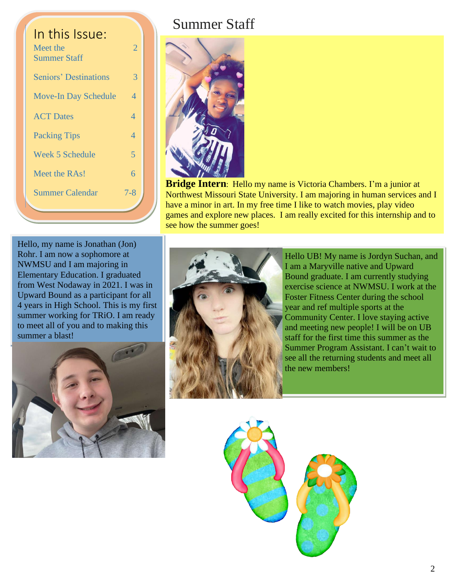| In this Issue:<br>Meet the<br><b>Summer Staff</b> | $\overline{2}$ |
|---------------------------------------------------|----------------|
| <b>Seniors' Destinations</b>                      | 3              |
| <b>Move-In Day Schedule</b>                       | 4              |
| <b>ACT Dates</b>                                  | $\overline{4}$ |
| <b>Packing Tips</b>                               | $\overline{4}$ |
| <b>Week 5 Schedule</b>                            | 5              |
| Meet the RAs!                                     | 6              |
| <b>Summer Calendar</b>                            | $7 - 8$        |
|                                                   |                |

## Summer Staff



**Bridge Intern**: Hello my name is Victoria Chambers. I'm a junior at Northwest Missouri State University. I am majoring in human services and I have a minor in art. In my free time I like to watch movies, play video games and explore new places. I am really excited for this internship and to see how the summer goes!

Hello, my name is Jonathan (Jon) Rohr. I am now a sophomore at NWMSU and I am majoring in Elementary Education. I graduated from West Nodaway in 2021. I was in Upward Bound as a participant for all 4 years in High School. This is my first summer working for TRiO. I am ready to meet all of you and to making this summer a blast!





Hello UB! My name is Jordyn Suchan, and I am a Maryville native and Upward Bound graduate. I am currently studying exercise science at NWMSU. I work at the Foster Fitness Center during the school year and ref multiple sports at the Community Center. I love staying active and meeting new people! I will be on UB staff for the first time this summer as the Summer Program Assistant. I can't wait to see all the returning students and meet all the new members!

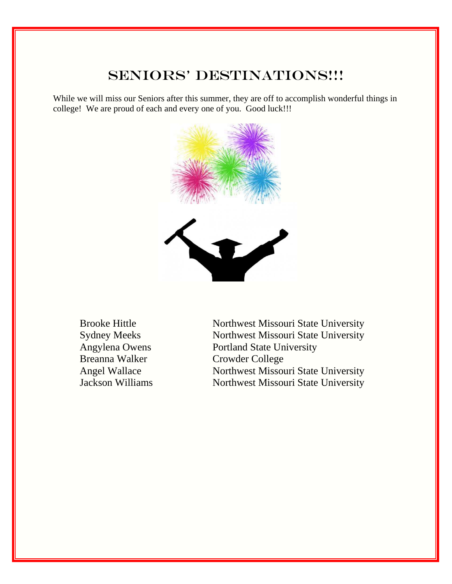## SENIORS' DESTINATIONS !!!

While we will miss our Seniors after this summer, they are off to accomplish wonderful things in college! We are proud of each and every one of you. Good luck!!!



Breanna Walker Crowder College

Brooke Hittle Northwest Missouri State University Sydney Meeks Northwest Missouri State University Angylena Owens Portland State University Angel Wallace Northwest Missouri State University Jackson Williams Northwest Missouri State University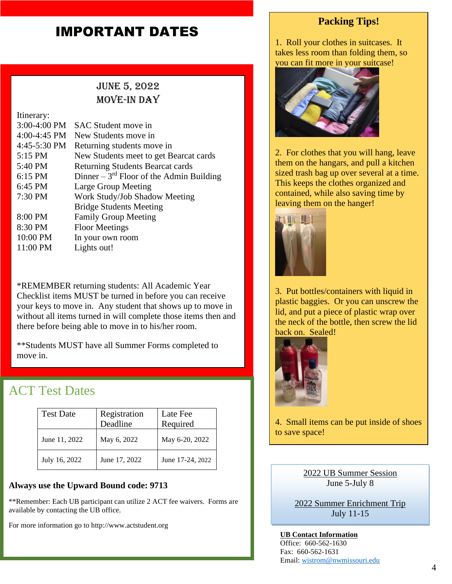## IMPORTANT DATES

## June 5, 2022 MOVE-IN DAY

Itinerary: 3:00-4:00 PM SAC Student move in 4:00-4:45 PM New Students move in 4:45-5:30 PM Returning students move in 5:15 PM New Students meet to get Bearcat cards 5:40 PM Returning Students Bearcat cards 6:15 PM Dinner  $-3<sup>rd</sup>$  Floor of the Admin Building 6:45 PM Large Group Meeting 7:30 PM Work Study/Job Shadow Meeting Bridge Students Meeting 8:00 PM Family Group Meeting 8:30 PM Floor Meetings 10:00 PM In your own room 11:00 PM Lights out!

\*REMEMBER returning students: All Academic Year Checklist items MUST be turned in before you can receive your keys to move in. Any student that shows up to move in without all items turned in will complete those items then and there before being able to move in to his/her room.

\*\*Students MUST have all Summer Forms completed to move in.

## ACT Test Dates

| <b>Test Date</b> | Registration<br>Deadline | Late Fee<br>Required |
|------------------|--------------------------|----------------------|
| June 11, 2022    | May 6, 2022              | May 6-20, 2022       |
| July 16, 2022    | June 17, 2022            | June 17-24, 2022     |

#### **Always use the Upward Bound code: 9713**

\*\*Remember: Each UB participant can utilize 2 ACT fee waivers. Forms are available by contacting the UB office.

For more information go to http://www.actstudent.org

#### **Packing Tips!**

1. Roll your clothes in suitcases. It takes less room than folding them, so you can fit more in your suitcase!



2. For clothes that you will hang, leave them on the hangars, and pull a kitchen sized trash bag up over several at a time. This keeps the clothes organized and contained, while also saving time by leaving them on the hanger!



3. Put bottles/containers with liquid in plastic baggies. Or you can unscrew the lid, and put a piece of plastic wrap over the neck of the bottle, then screw the lid back on. Sealed!



4. Small items can be put inside of shoes to save space!

> 2022 UB Summer Session June 5-July 8

2022 Summer Enrichment Trip July 11-15

**UB Contact Information** Office: 660-562-1630 Fax: 660-562-1631 Email: [wistrom@nwmissouri.edu](mailto:wistrom@nwmissouri.edu)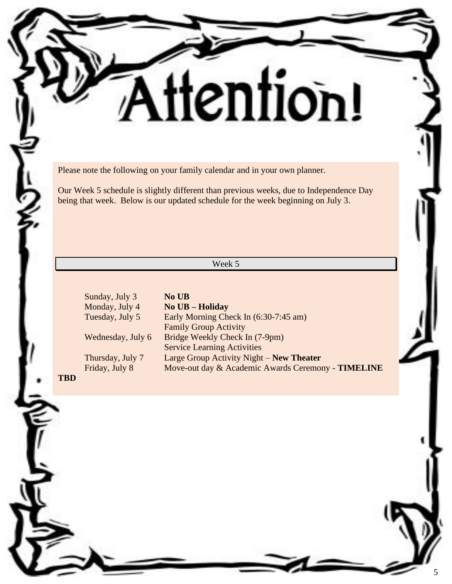Please note the following on your family calendar and in your own planner.

Our Week 5 schedule is slightly different than previous weeks, due to Independence Day being that week. Below is our updated schedule for the week beginning on July 3.

ttention!

Week 5

Sunday, July 3 **No UB** Monday, July 4 **No UB – Holiday** Tuesday, July 5 Early Morning Check In (6:30-7:45 am) Family Group Activity Wednesday, July 6 Bridge Weekly Check In (7-9pm) Service Learning Activities Thursday, July 7 Large Group Activity Night – **New Theater**  Move-out day & Academic Awards Ceremony - **TIMELINE** 

**TBD**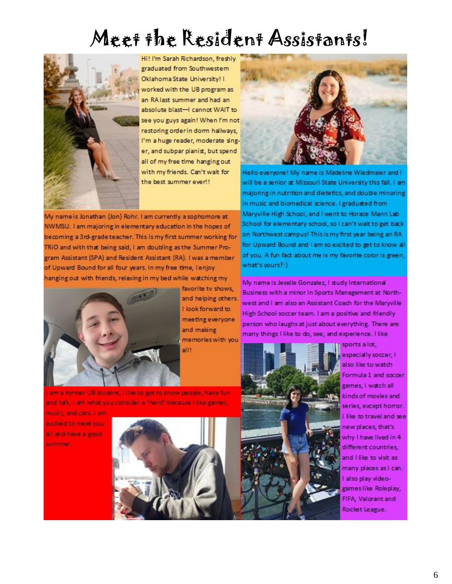## Meet the Resident Assistants!



Hi! I'm Sarah Richardson, freshly graduated from Southwestem Oklahoma State University! I worked with the UB program as an RA last summer and had an absolute blast-I cannot WAIT to see you guys again! When I'm not restoring order in dorm hallways, I'm a huge reader, moderate singer, and subpar pianist, but spend all of my free time hanging out with my friends. Can't wait for the best summer ever!!

My name is Jonathan (Jon) Rohr. I am currently a sophomore at NWMSU. I am majoring in elementary education in the hopes of becoming a 3rd-grade teacher. This is my first summer working for TRIO and with that being said, I am doubling as the Summer Program Assistant (SPA) and Resident Assistant (RA). I was a member of Upward Bound for all four years. In my free time, lenjoy hanging out with friends, relaxing in my bed while watching my



favorite tv shows, and helping others. I look forward to meeting everyone and making memories with you all!

am a former UB student, I like to get to know people, have funand talk, I am what you consider a "nerd" because I like games,

music, and cars. I am excited to meet you all and have a good summer.





Hello everyone! My name is Madeline Wiedmaier and I will be a senior at Missouri State University this fall. I am majoring in nutrition and dietetics, and double minoring in music and biomedical science. I graduated from Maryville High School, and I went to Horace Mann Lab School for elementary school, so I can't wait to get back on Northwest campus! This is my first year being an RAfor Upward Bound and I am so excited to get to know all of you. A fun fact about me is my favorite color is green, what's yours?:)

My name is Jeselle Gonzalez, I study International Business with a minor in Sports Management at Northwest and I am also an Assistant Coach for the Maryville High School soccer team. I am a positive and friendly person who laughs at just about everything. There are many things I like to do, see, and experience. I like



sports a lot, especially soccer, I also like to watch Formula 1 and soccer games, I watch all kinds of movies and series, except homor. like to travel and see new places, that's why I have lived in 4 different countries, and I like to visit as many places as I can. also play videogames like Roleplay, FIFA, Valorant and Rocket League.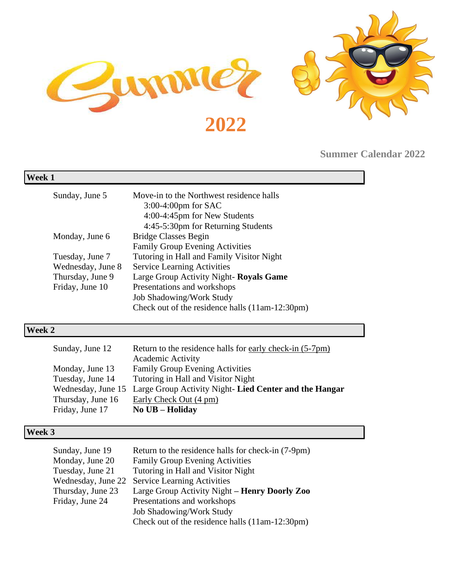

**Summer Calendar 2022**

| Week 1 |                   |                                                                                                    |
|--------|-------------------|----------------------------------------------------------------------------------------------------|
|        | Sunday, June 5    | Move-in to the Northwest residence halls<br>$3:00-4:00$ pm for SAC<br>4:00-4:45pm for New Students |
|        |                   | 4:45-5:30pm for Returning Students                                                                 |
|        | Monday, June 6    | <b>Bridge Classes Begin</b>                                                                        |
|        |                   | <b>Family Group Evening Activities</b>                                                             |
|        | Tuesday, June 7   | Tutoring in Hall and Family Visitor Night                                                          |
|        | Wednesday, June 8 | <b>Service Learning Activities</b>                                                                 |
|        | Thursday, June 9  | Large Group Activity Night- Royals Game                                                            |
|        | Friday, June 10   | Presentations and workshops                                                                        |
|        |                   | <b>Job Shadowing/Work Study</b>                                                                    |
|        |                   | Check out of the residence halls (11am-12:30pm)                                                    |
|        |                   |                                                                                                    |

#### **Week 2**

| Sunday, June 12   | Return to the residence halls for early check-in (5-7pm)                  |
|-------------------|---------------------------------------------------------------------------|
|                   | <b>Academic Activity</b>                                                  |
| Monday, June 13   | <b>Family Group Evening Activities</b>                                    |
| Tuesday, June 14  | Tutoring in Hall and Visitor Night                                        |
|                   | Wednesday, June 15 Large Group Activity Night- Lied Center and the Hangar |
| Thursday, June 16 | Early Check Out (4 pm)                                                    |
| Friday, June 17   | No UB - Holiday                                                           |

## **Week 3**

| Sunday, June 19    | Return to the residence halls for check-in (7-9pm) |
|--------------------|----------------------------------------------------|
| Monday, June 20    | <b>Family Group Evening Activities</b>             |
| Tuesday, June 21   | Tutoring in Hall and Visitor Night                 |
| Wednesday, June 22 | <b>Service Learning Activities</b>                 |
| Thursday, June 23  | Large Group Activity Night – Henry Doorly Zoo      |
| Friday, June 24    | Presentations and workshops                        |
|                    | <b>Job Shadowing/Work Study</b>                    |
|                    | Check out of the residence halls (11am-12:30pm)    |